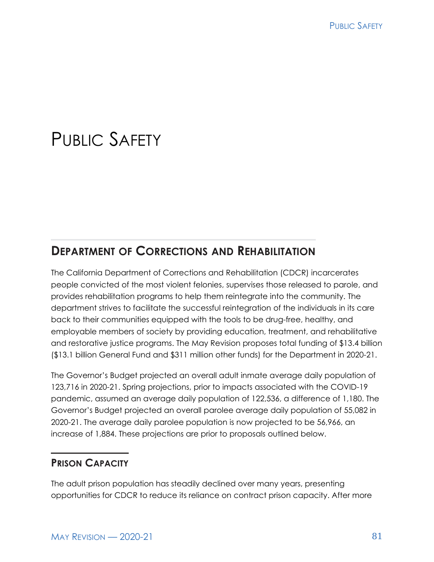# PUBLIC SAFFTY

### **DEPARTMENT OF CORRECTIONS AND REHABILITATION**

The California Department of Corrections and Rehabilitation (CDCR) incarcerates people convicted of the most violent felonies, supervises those released to parole, and provides rehabilitation programs to help them reintegrate into the community. The department strives to facilitate the successful reintegration of the individuals in its care back to their communities equipped with the tools to be drug-free, healthy, and employable members of society by providing education, treatment, and rehabilitative and restorative justice programs. The May Revision proposes total funding of \$13.4 billion (\$13.1 billion General Fund and \$311 million other funds) for the Department in 2020-21.

The Governor's Budget projected an overall adult inmate average daily population of 123,716 in 2020-21. Spring projections, prior to impacts associated with the COVID-19 pandemic, assumed an average daily population of 122,536, a difference of 1,180. The Governor's Budget projected an overall parolee average daily population of 55,082 in 2020-21. The average daily parolee population is now projected to be 56,966, an increase of 1,884. These projections are prior to proposals outlined below.

#### **PRISON CAPACITY**

The adult prison population has steadily declined over many years, presenting opportunities for CDCR to reduce its reliance on contract prison capacity. After more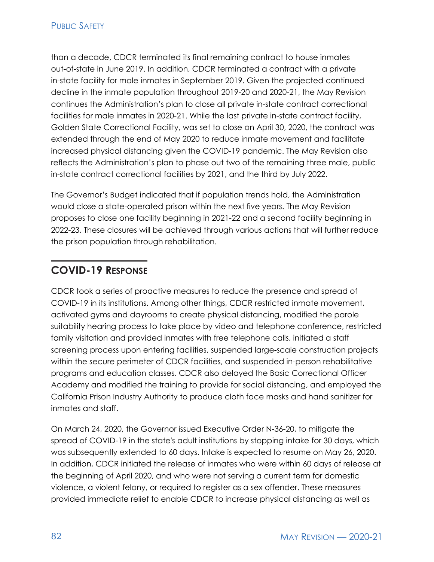than a decade, CDCR terminated its final remaining contract to house inmates out-of-state in June 2019. In addition, CDCR terminated a contract with a private in-state facility for male inmates in September 2019. Given the projected continued decline in the inmate population throughout 2019-20 and 2020-21, the May Revision continues the Administration's plan to close all private in-state contract correctional facilities for male inmates in 2020-21. While the last private in-state contract facility, Golden State Correctional Facility, was set to close on April 30, 2020, the contract was extended through the end of May 2020 to reduce inmate movement and facilitate increased physical distancing given the COVID-19 pandemic. The May Revision also reflects the Administration's plan to phase out two of the remaining three male, public in-state contract correctional facilities by 2021, and the third by July 2022.

The Governor's Budget indicated that if population trends hold, the Administration would close a state-operated prison within the next five years. The May Revision proposes to close one facility beginning in 2021-22 and a second facility beginning in 2022-23. These closures will be achieved through various actions that will further reduce the prison population through rehabilitation.

### **COVID-19 RESPONSE**

CDCR took a series of proactive measures to reduce the presence and spread of COVID-19 in its institutions. Among other things, CDCR restricted inmate movement, activated gyms and dayrooms to create physical distancing, modified the parole suitability hearing process to take place by video and telephone conference, restricted family visitation and provided inmates with free telephone calls, initiated a staff screening process upon entering facilities, suspended large-scale construction projects within the secure perimeter of CDCR facilities, and suspended in-person rehabilitative programs and education classes. CDCR also delayed the Basic Correctional Officer Academy and modified the training to provide for social distancing, and employed the California Prison Industry Authority to produce cloth face masks and hand sanitizer for inmates and staff.

On March 24, 2020, the Governor issued Executive Order N-36-20, to mitigate the spread of COVID-19 in the state's adult institutions by stopping intake for 30 days, which was subsequently extended to 60 days. Intake is expected to resume on May 26, 2020. In addition, CDCR initiated the release of inmates who were within 60 days of release at the beginning of April 2020, and who were not serving a current term for domestic violence, a violent felony, or required to register as a sex offender. These measures provided immediate relief to enable CDCR to increase physical distancing as well as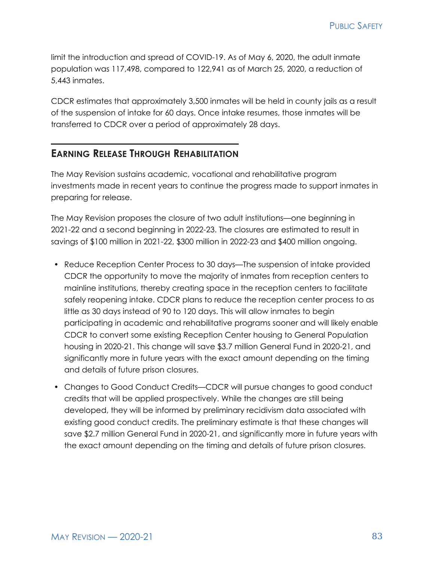limit the introduction and spread of COVID-19. As of May 6, 2020, the adult inmate population was 117,498, compared to 122,941 as of March 25, 2020, a reduction of 5,443 inmates.

CDCR estimates that approximately 3,500 inmates will be held in county jails as a result of the suspension of intake for 60 days. Once intake resumes, those inmates will be transferred to CDCR over a period of approximately 28 days.

#### **EARNING RELEASE THROUGH REHABILITATION**

The May Revision sustains academic, vocational and rehabilitative program investments made in recent years to continue the progress made to support inmates in preparing for release.

The May Revision proposes the closure of two adult institutions—one beginning in 2021-22 and a second beginning in 2022-23. The closures are estimated to result in savings of \$100 million in 2021-22, \$300 million in 2022-23 and \$400 million ongoing.

- Reduce Reception Center Process to 30 days—The suspension of intake provided CDCR the opportunity to move the majority of inmates from reception centers to mainline institutions, thereby creating space in the reception centers to facilitate safely reopening intake. CDCR plans to reduce the reception center process to as little as 30 days instead of 90 to 120 days. This will allow inmates to begin participating in academic and rehabilitative programs sooner and will likely enable CDCR to convert some existing Reception Center housing to General Population housing in 2020-21. This change will save \$3.7 million General Fund in 2020-21, and significantly more in future years with the exact amount depending on the timing and details of future prison closures.
- Changes to Good Conduct Credits—CDCR will pursue changes to good conduct credits that will be applied prospectively. While the changes are still being developed, they will be informed by preliminary recidivism data associated with existing good conduct credits. The preliminary estimate is that these changes will save \$2.7 million General Fund in 2020-21, and significantly more in future years with the exact amount depending on the timing and details of future prison closures.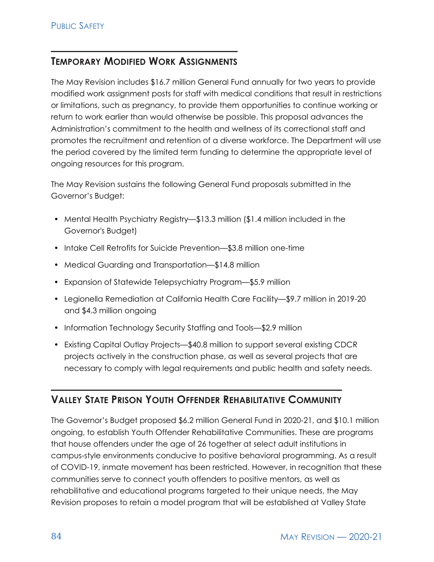#### **TEMPORARY MODIFIED WORK ASSIGNMENTS**

The May Revision includes \$16.7 million General Fund annually for two years to provide modified work assignment posts for staff with medical conditions that result in restrictions or limitations, such as pregnancy, to provide them opportunities to continue working or return to work earlier than would otherwise be possible. This proposal advances the Administration's commitment to the health and wellness of its correctional staff and promotes the recruitment and retention of a diverse workforce. The Department will use the period covered by the limited term funding to determine the appropriate level of ongoing resources for this program.

The May Revision sustains the following General Fund proposals submitted in the Governor's Budget:

- Mental Health Psychiatry Registry—\$13.3 million (\$1.4 million included in the Governor's Budget)
- Intake Cell Retrofits for Suicide Prevention—\$3.8 million one-time
- Medical Guarding and Transportation—\$14.8 million
- Expansion of Statewide Telepsychiatry Program—\$5.9 million
- Legionella Remediation at California Health Care Facility—\$9.7 million in 2019-20 and \$4.3 million ongoing
- Information Technology Security Staffing and Tools-\$2.9 million
- Existing Capital Outlay Projects—\$40.8 million to support several existing CDCR projects actively in the construction phase, as well as several projects that are necessary to comply with legal requirements and public health and safety needs.

#### **VALLEY STATE PRISON YOUTH OFFENDER REHABILITATIVE COMMUNITY**

The Governor's Budget proposed \$6.2 million General Fund in 2020-21, and \$10.1 million ongoing, to establish Youth Offender Rehabilitative Communities. These are programs that house offenders under the age of 26 together at select adult institutions in campus-style environments conducive to positive behavioral programming. As a result of COVID-19, inmate movement has been restricted. However, in recognition that these communities serve to connect youth offenders to positive mentors, as well as rehabilitative and educational programs targeted to their unique needs, the May Revision proposes to retain a model program that will be established at Valley State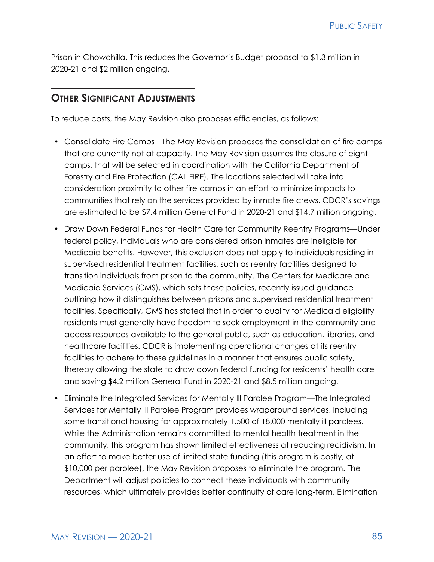Prison in Chowchilla. This reduces the Governor's Budget proposal to \$1.3 million in 2020-21 and \$2 million ongoing.

#### **OTHER SIGNIFICANT ADJUSTMENTS**

To reduce costs, the May Revision also proposes efficiencies, as follows:

- Consolidate Fire Camps—The May Revision proposes the consolidation of fire camps that are currently not at capacity. The May Revision assumes the closure of eight camps, that will be selected in coordination with the California Department of Forestry and Fire Protection (CAL FIRE). The locations selected will take into consideration proximity to other fire camps in an effort to minimize impacts to communities that rely on the services provided by inmate fire crews. CDCR's savings are estimated to be \$7.4 million General Fund in 2020-21 and \$14.7 million ongoing.
- Draw Down Federal Funds for Health Care for Community Reentry Programs—Under federal policy, individuals who are considered prison inmates are ineligible for Medicaid benefits. However, this exclusion does not apply to individuals residing in supervised residential treatment facilities, such as reentry facilities designed to transition individuals from prison to the community. The Centers for Medicare and Medicaid Services (CMS), which sets these policies, recently issued guidance outlining how it distinguishes between prisons and supervised residential treatment facilities. Specifically, CMS has stated that in order to qualify for Medicaid eligibility residents must generally have freedom to seek employment in the community and access resources available to the general public, such as education, libraries, and healthcare facilities. CDCR is implementing operational changes at its reentry facilities to adhere to these guidelines in a manner that ensures public safety, thereby allowing the state to draw down federal funding for residents' health care and saving \$4.2 million General Fund in 2020-21 and \$8.5 million ongoing.
- Eliminate the Integrated Services for Mentally Ill Parolee Program—The Integrated Services for Mentally Ill Parolee Program provides wraparound services, including some transitional housing for approximately 1,500 of 18,000 mentally ill parolees. While the Administration remains committed to mental health treatment in the community, this program has shown limited effectiveness at reducing recidivism. In an effort to make better use of limited state funding (this program is costly, at \$10,000 per parolee), the May Revision proposes to eliminate the program. The Department will adjust policies to connect these individuals with community resources, which ultimately provides better continuity of care long-term. Elimination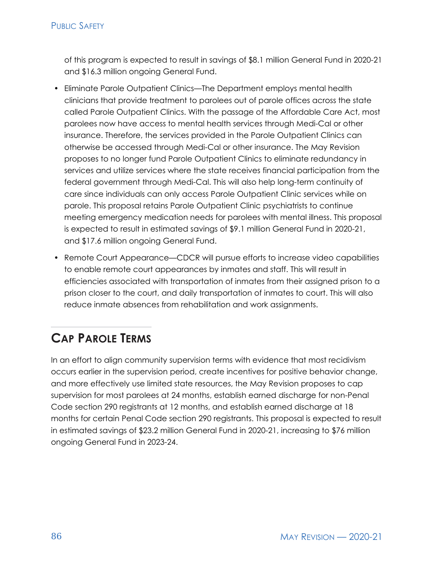of this program is expected to result in savings of \$8.1 million General Fund in 2020-21 and \$16.3 million ongoing General Fund.

- Eliminate Parole Outpatient Clinics—The Department employs mental health clinicians that provide treatment to parolees out of parole offices across the state called Parole Outpatient Clinics. With the passage of the Affordable Care Act, most parolees now have access to mental health services through Medi-Cal or other insurance. Therefore, the services provided in the Parole Outpatient Clinics can otherwise be accessed through Medi-Cal or other insurance. The May Revision proposes to no longer fund Parole Outpatient Clinics to eliminate redundancy in services and utilize services where the state receives financial participation from the federal government through Medi-Cal. This will also help long-term continuity of care since individuals can only access Parole Outpatient Clinic services while on parole. This proposal retains Parole Outpatient Clinic psychiatrists to continue meeting emergency medication needs for parolees with mental illness. This proposal is expected to result in estimated savings of \$9.1 million General Fund in 2020-21, and \$17.6 million ongoing General Fund.
- Remote Court Appearance—CDCR will pursue efforts to increase video capabilities to enable remote court appearances by inmates and staff. This will result in efficiencies associated with transportation of inmates from their assigned prison to a prison closer to the court, and daily transportation of inmates to court. This will also reduce inmate absences from rehabilitation and work assignments.

# **CAP PAROLE TERMS**

In an effort to align community supervision terms with evidence that most recidivism occurs earlier in the supervision period, create incentives for positive behavior change, and more effectively use limited state resources, the May Revision proposes to cap supervision for most parolees at 24 months, establish earned discharge for non-Penal Code section 290 registrants at 12 months, and establish earned discharge at 18 months for certain Penal Code section 290 registrants. This proposal is expected to result in estimated savings of \$23.2 million General Fund in 2020-21, increasing to \$76 million ongoing General Fund in 2023-24.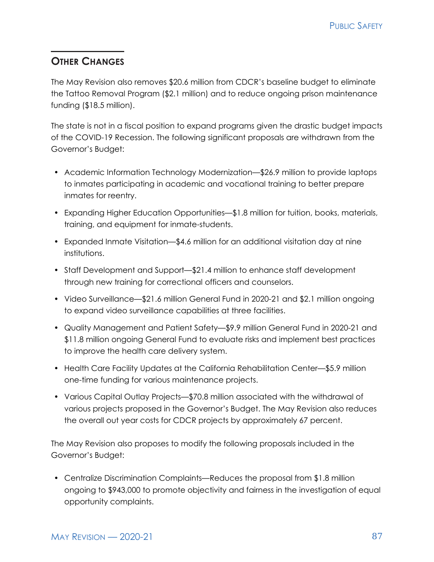#### **OTHER CHANGES**

The May Revision also removes \$20.6 million from CDCR's baseline budget to eliminate the Tattoo Removal Program (\$2.1 million) and to reduce ongoing prison maintenance funding (\$18.5 million).

The state is not in a fiscal position to expand programs given the drastic budget impacts of the COVID-19 Recession. The following significant proposals are withdrawn from the Governor's Budget:

- Academic Information Technology Modernization—\$26.9 million to provide laptops to inmates participating in academic and vocational training to better prepare inmates for reentry.
- Expanding Higher Education Opportunities—\$1.8 million for tuition, books, materials, training, and equipment for inmate-students.
- Expanded Inmate Visitation—\$4.6 million for an additional visitation day at nine institutions.
- Staff Development and Support—\$21.4 million to enhance staff development through new training for correctional officers and counselors.
- Video Surveillance—\$21.6 million General Fund in 2020-21 and \$2.1 million ongoing to expand video surveillance capabilities at three facilities.
- Quality Management and Patient Safety—\$9.9 million General Fund in 2020-21 and \$11.8 million ongoing General Fund to evaluate risks and implement best practices to improve the health care delivery system.
- Health Care Facility Updates at the California Rehabilitation Center—\$5.9 million one-time funding for various maintenance projects.
- Various Capital Outlay Projects—\$70.8 million associated with the withdrawal of various projects proposed in the Governor's Budget. The May Revision also reduces the overall out year costs for CDCR projects by approximately 67 percent.

The May Revision also proposes to modify the following proposals included in the Governor's Budget:

• Centralize Discrimination Complaints—Reduces the proposal from \$1.8 million ongoing to \$943,000 to promote objectivity and fairness in the investigation of equal opportunity complaints.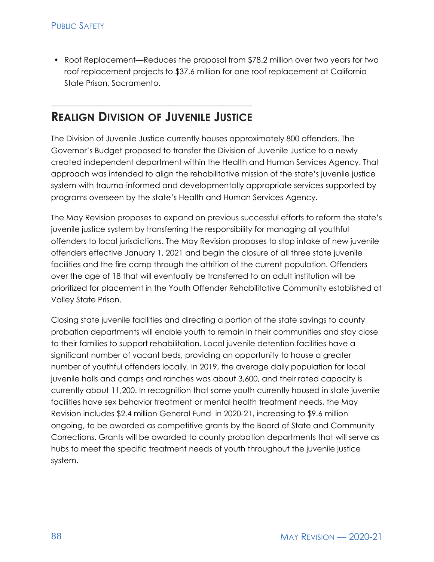• Roof Replacement—Reduces the proposal from \$78.2 million over two years for two roof replacement projects to \$37.6 million for one roof replacement at California State Prison, Sacramento.

### **REALIGN DIVISION OF JUVENILE JUSTICE**

The Division of Juvenile Justice currently houses approximately 800 offenders. The Governor's Budget proposed to transfer the Division of Juvenile Justice to a newly created independent department within the Health and Human Services Agency. That approach was intended to align the rehabilitative mission of the state's juvenile justice system with trauma-informed and developmentally appropriate services supported by programs overseen by the state's Health and Human Services Agency.

The May Revision proposes to expand on previous successful efforts to reform the state's juvenile justice system by transferring the responsibility for managing all youthful offenders to local jurisdictions. The May Revision proposes to stop intake of new juvenile offenders effective January 1, 2021 and begin the closure of all three state juvenile facilities and the fire camp through the attrition of the current population. Offenders over the age of 18 that will eventually be transferred to an adult institution will be prioritized for placement in the Youth Offender Rehabilitative Community established at Valley State Prison.

Closing state juvenile facilities and directing a portion of the state savings to county probation departments will enable youth to remain in their communities and stay close to their families to support rehabilitation. Local juvenile detention facilities have a significant number of vacant beds, providing an opportunity to house a greater number of youthful offenders locally. In 2019, the average daily population for local juvenile halls and camps and ranches was about 3,600, and their rated capacity is currently about 11,200. In recognition that some youth currently housed in state juvenile facilities have sex behavior treatment or mental health treatment needs, the May Revision includes \$2.4 million General Fund in 2020-21, increasing to \$9.6 million ongoing, to be awarded as competitive grants by the Board of State and Community Corrections. Grants will be awarded to county probation departments that will serve as hubs to meet the specific treatment needs of youth throughout the juvenile justice system.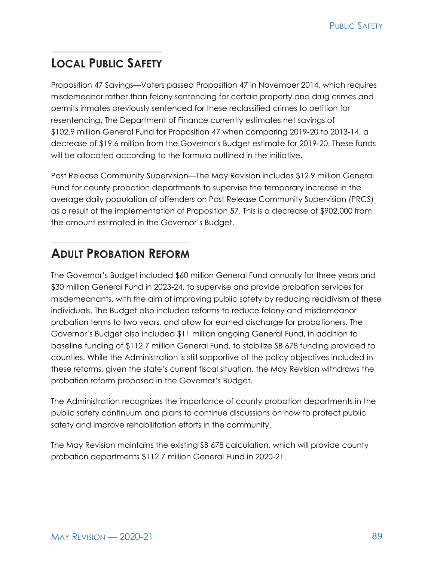## **LOCAL PUBLIC SAFETY**

Proposition 47 Savings—Voters passed Proposition 47 in November 2014, which requires misdemeanor rather than felony sentencing for certain property and drug crimes and permits inmates previously sentenced for these reclassified crimes to petition for resentencing. The Department of Finance currently estimates net savings of \$102.9 million General Fund for Proposition 47 when comparing 2019‑20 to 2013‑14, a decrease of \$19.6 million from the Governor's Budget estimate for 2019‑20. These funds will be allocated according to the formula outlined in the initiative.

Post Release Community Supervision—The May Revision includes \$12.9 million General Fund for county probation departments to supervise the temporary increase in the average daily population of offenders on Post Release Community Supervision (PRCS) as a result of the implementation of Proposition 57. This is a decrease of \$902,000 from the amount estimated in the Governor's Budget.

# **ADULT PROBATION REFORM**

The Governor's Budget included \$60 million General Fund annually for three years and \$30 million General Fund in 2023-24, to supervise and provide probation services for misdemeanants, with the aim of improving public safety by reducing recidivism of these individuals. The Budget also included reforms to reduce felony and misdemeanor probation terms to two years, and allow for earned discharge for probationers. The Governor's Budget also included \$11 million ongoing General Fund, in addition to baseline funding of \$112.7 million General Fund, to stabilize SB 678 funding provided to counties. While the Administration is still supportive of the policy objectives included in these reforms, given the state's current fiscal situation, the May Revision withdraws the probation reform proposed in the Governor's Budget.

The Administration recognizes the importance of county probation departments in the public safety continuum and plans to continue discussions on how to protect public safety and improve rehabilitation efforts in the community.

The May Revision maintains the existing SB 678 calculation, which will provide county probation departments \$112.7 million General Fund in 2020-21.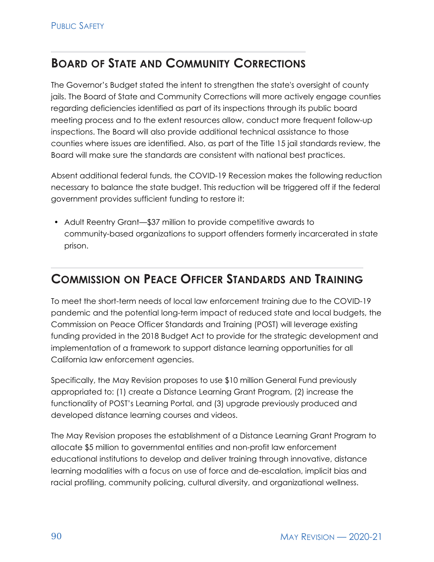### **BOARD OF STATE AND COMMUNITY CORRECTIONS**

The Governor's Budget stated the intent to strengthen the state's oversight of county jails. The Board of State and Community Corrections will more actively engage counties regarding deficiencies identified as part of its inspections through its public board meeting process and to the extent resources allow, conduct more frequent follow-up inspections. The Board will also provide additional technical assistance to those counties where issues are identified. Also, as part of the Title 15 jail standards review, the Board will make sure the standards are consistent with national best practices.

Absent additional federal funds, the COVID-19 Recession makes the following reduction necessary to balance the state budget. This reduction will be triggered off if the federal government provides sufficient funding to restore it:

• Adult Reentry Grant—\$37 million to provide competitive awards to community-based organizations to support offenders formerly incarcerated in state prison.

### **COMMISSION ON PEACE OFFICER STANDARDS AND TRAINING**

To meet the short-term needs of local law enforcement training due to the COVID-19 pandemic and the potential long-term impact of reduced state and local budgets, the Commission on Peace Officer Standards and Training (POST) will leverage existing funding provided in the 2018 Budget Act to provide for the strategic development and implementation of a framework to support distance learning opportunities for all California law enforcement agencies.

Specifically, the May Revision proposes to use \$10 million General Fund previously appropriated to: (1) create a Distance Learning Grant Program, (2) increase the functionality of POST's Learning Portal, and (3) upgrade previously produced and developed distance learning courses and videos.

The May Revision proposes the establishment of a Distance Learning Grant Program to allocate \$5 million to governmental entities and non-profit law enforcement educational institutions to develop and deliver training through innovative, distance learning modalities with a focus on use of force and de-escalation, implicit bias and racial profiling, community policing, cultural diversity, and organizational wellness.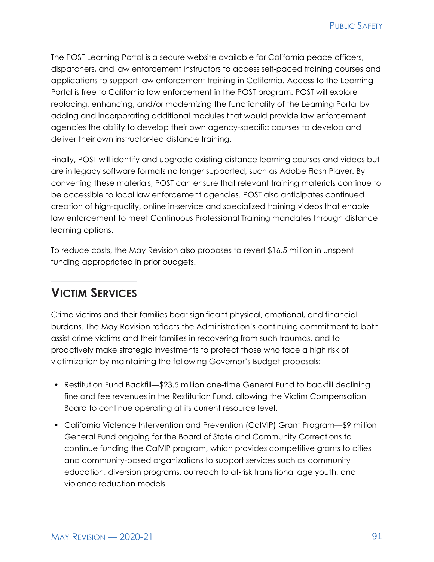The POST Learning Portal is a secure website available for California peace officers, dispatchers, and law enforcement instructors to access self-paced training courses and applications to support law enforcement training in California. Access to the Learning Portal is free to California law enforcement in the POST program. POST will explore replacing, enhancing, and/or modernizing the functionality of the Learning Portal by adding and incorporating additional modules that would provide law enforcement agencies the ability to develop their own agency-specific courses to develop and deliver their own instructor-led distance training.

Finally, POST will identify and upgrade existing distance learning courses and videos but are in legacy software formats no longer supported, such as Adobe Flash Player. By converting these materials, POST can ensure that relevant training materials continue to be accessible to local law enforcement agencies. POST also anticipates continued creation of high-quality, online in-service and specialized training videos that enable law enforcement to meet Continuous Professional Training mandates through distance learning options.

To reduce costs, the May Revision also proposes to revert \$16.5 million in unspent funding appropriated in prior budgets.

### **VICTIM SERVICES**

Crime victims and their families bear significant physical, emotional, and financial burdens. The May Revision reflects the Administration's continuing commitment to both assist crime victims and their families in recovering from such traumas, and to proactively make strategic investments to protect those who face a high risk of victimization by maintaining the following Governor's Budget proposals:

- Restitution Fund Backfill—\$23.5 million one-time General Fund to backfill declining fine and fee revenues in the Restitution Fund, allowing the Victim Compensation Board to continue operating at its current resource level.
- California Violence Intervention and Prevention (CalVIP) Grant Program—\$9 million General Fund ongoing for the Board of State and Community Corrections to continue funding the CalVIP program, which provides competitive grants to cities and community-based organizations to support services such as community education, diversion programs, outreach to at-risk transitional age youth, and violence reduction models.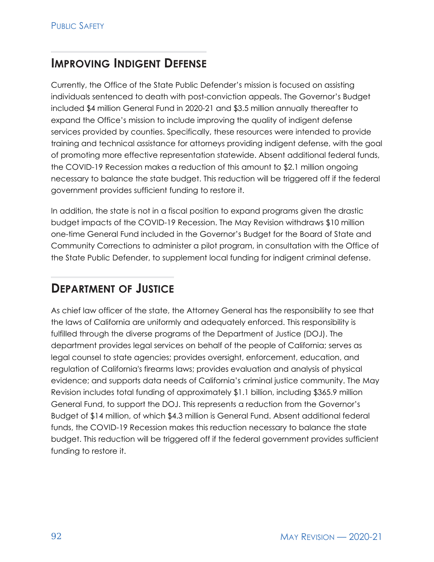### **IMPROVING INDIGENT** DEFENSE

Currently, the Office of the State Public Defender's mission is focused on assisting individuals sentenced to death with post-conviction appeals. The Governor's Budget included \$4 million General Fund in 2020-21 and \$3.5 million annually thereafter to expand the Office's mission to include improving the quality of indigent defense services provided by counties. Specifically, these resources were intended to provide training and technical assistance for attorneys providing indigent defense, with the goal of promoting more effective representation statewide. Absent additional federal funds, the COVID-19 Recession makes a reduction of this amount to \$2.1 million ongoing necessary to balance the state budget. This reduction will be triggered off if the federal government provides sufficient funding to restore it.

In addition, the state is not in a fiscal position to expand programs given the drastic budget impacts of the COVID-19 Recession. The May Revision withdraws \$10 million one-time General Fund included in the Governor's Budget for the Board of State and Community Corrections to administer a pilot program, in consultation with the Office of the State Public Defender, to supplement local funding for indigent criminal defense.

### **DEPARTMENT OF JUSTICE**

As chief law officer of the state, the Attorney General has the responsibility to see that the laws of California are uniformly and adequately enforced. This responsibility is fulfilled through the diverse programs of the Department of Justice (DOJ). The department provides legal services on behalf of the people of California; serves as legal counsel to state agencies; provides oversight, enforcement, education, and regulation of California's firearms laws; provides evaluation and analysis of physical evidence; and supports data needs of California's criminal justice community. The May Revision includes total funding of approximately \$1.1 billion, including \$365.9 million General Fund, to support the DOJ. This represents a reduction from the Governor's Budget of \$14 million, of which \$4.3 million is General Fund. Absent additional federal funds, the COVID-19 Recession makes this reduction necessary to balance the state budget. This reduction will be triggered off if the federal government provides sufficient funding to restore it.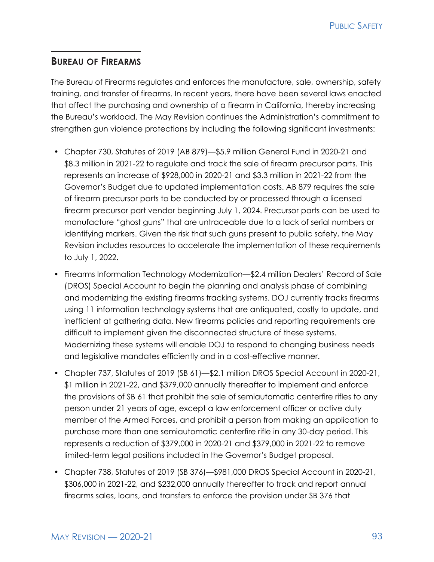#### **BUREAU OF FIREARMS**

The Bureau of Firearms regulates and enforces the manufacture, sale, ownership, safety training, and transfer of firearms. In recent years, there have been several laws enacted that affect the purchasing and ownership of a firearm in California, thereby increasing the Bureau's workload. The May Revision continues the Administration's commitment to strengthen gun violence protections by including the following significant investments:

- Chapter 730, Statutes of 2019 (AB 879)—\$5.9 million General Fund in 2020-21 and \$8.3 million in 2021-22 to regulate and track the sale of firearm precursor parts. This represents an increase of \$928,000 in 2020-21 and \$3.3 million in 2021-22 from the Governor's Budget due to updated implementation costs. AB 879 requires the sale of firearm precursor parts to be conducted by or processed through a licensed firearm precursor part vendor beginning July 1, 2024. Precursor parts can be used to manufacture "ghost guns" that are untraceable due to a lack of serial numbers or identifying markers. Given the risk that such guns present to public safety, the May Revision includes resources to accelerate the implementation of these requirements to July 1, 2022.
- Firearms Information Technology Modernization—\$2.4 million Dealers' Record of Sale (DROS) Special Account to begin the planning and analysis phase of combining and modernizing the existing firearms tracking systems. DOJ currently tracks firearms using 11 information technology systems that are antiquated, costly to update, and inefficient at gathering data. New firearms policies and reporting requirements are difficult to implement given the disconnected structure of these systems. Modernizing these systems will enable DOJ to respond to changing business needs and legislative mandates efficiently and in a cost-effective manner.
- Chapter 737, Statutes of 2019 (SB 61)—\$2.1 million DROS Special Account in 2020-21, \$1 million in 2021-22, and \$379,000 annually thereafter to implement and enforce the provisions of SB 61 that prohibit the sale of semiautomatic centerfire rifles to any person under 21 years of age, except a law enforcement officer or active duty member of the Armed Forces, and prohibit a person from making an application to purchase more than one semiautomatic centerfire rifle in any 30-day period. This represents a reduction of \$379,000 in 2020-21 and \$379,000 in 2021-22 to remove limited-term legal positions included in the Governor's Budget proposal.
- Chapter 738, Statutes of 2019 (SB 376)—\$981,000 DROS Special Account in 2020-21, \$306,000 in 2021-22, and \$232,000 annually thereafter to track and report annual firearms sales, loans, and transfers to enforce the provision under SB 376 that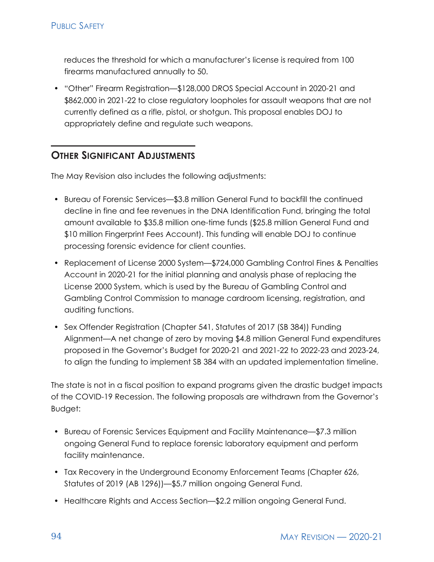reduces the threshold for which a manufacturer's license is required from 100 firearms manufactured annually to 50.

• "Other" Firearm Registration—\$128,000 DROS Special Account in 2020-21 and \$862,000 in 2021-22 to close regulatory loopholes for assault weapons that are not currently defined as a rifle, pistol, or shotgun. This proposal enables DOJ to appropriately define and regulate such weapons.

#### **OTHER SIGNIFICANT ADJUSTMENTS**

The May Revision also includes the following adjustments:

- Bureau of Forensic Services—\$3.8 million General Fund to backfill the continued decline in fine and fee revenues in the DNA Identification Fund, bringing the total amount available to \$35.8 million one-time funds (\$25.8 million General Fund and \$10 million Fingerprint Fees Account). This funding will enable DOJ to continue processing forensic evidence for client counties.
- Replacement of License 2000 System—\$724,000 Gambling Control Fines & Penalties Account in 2020-21 for the initial planning and analysis phase of replacing the License 2000 System, which is used by the Bureau of Gambling Control and Gambling Control Commission to manage cardroom licensing, registration, and auditing functions.
- Sex Offender Registration (Chapter 541, Statutes of 2017 (SB 384)) Funding Alignment—A net change of zero by moving \$4.8 million General Fund expenditures proposed in the Governor's Budget for 2020-21 and 2021-22 to 2022-23 and 2023-24, to align the funding to implement SB 384 with an updated implementation timeline.

The state is not in a fiscal position to expand programs given the drastic budget impacts of the COVID-19 Recession. The following proposals are withdrawn from the Governor's Budget:

- Bureau of Forensic Services Equipment and Facility Maintenance—\$7.3 million ongoing General Fund to replace forensic laboratory equipment and perform facility maintenance.
- Tax Recovery in the Underground Economy Enforcement Teams (Chapter 626, Statutes of 2019 (AB 1296))—\$5.7 million ongoing General Fund.
- Healthcare Rights and Access Section—\$2.2 million ongoing General Fund.